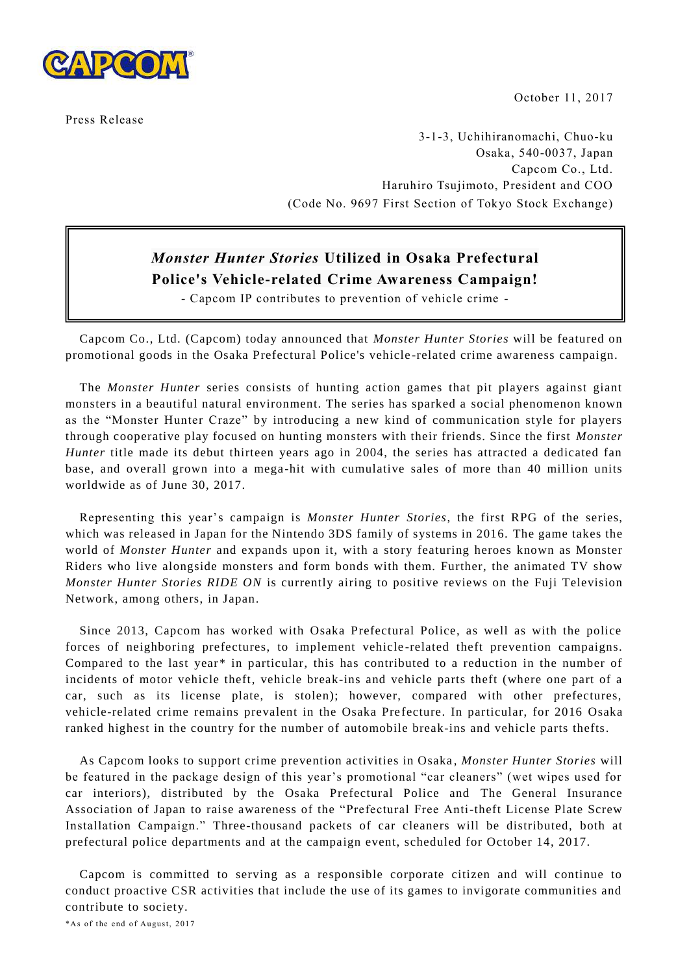

October 11, 2017

Press Release

3-1-3, Uchihiranomachi, Chuo-ku Osaka, 540-0037, Japan Capcom Co., Ltd. Haruhiro Tsujimoto, President and COO (Code No. 9697 First Section of Tokyo Stock Exchange)

# *Monster Hunter Stories* **Utilized in Osaka Prefectural Police's Vehicle-related Crime Awareness Campaign!**

- Capcom IP contributes to prevention of vehicle crime -

Capcom Co., Ltd. (Capcom) today announced that *Monster Hunter Stories* will be featured on promotional goods in the Osaka Prefectural Police's vehicle -related crime awareness campaign.

The *Monster Hunter* series consists of hunting action games that pit players against giant monsters in a beautiful natural environment. The series has sparked a social phenomenon known as the "Monster Hunter Craze" by introducing a new kind of communication style for players through cooperative play focused on hunting monsters with their friends. Since the first *Monster Hunter* title made its debut thirteen years ago in 2004, the series has attracted a dedicated fan base, and overall grown into a mega -hit with cumulative sales of more than 40 million units worldwide as of June 30, 2017.

Representing this year's campaign is *Monster Hunter Stories*, the first RPG of the series, which was released in Japan for the Nintendo 3DS family of systems in 2016. The game takes the world of *Monster Hunter* and expands upon it, with a story featuring heroes known as Monster Riders who live alongside monsters and form bonds with them. Further, the animated TV show *Monster Hunter Stories RIDE ON* is currently airing to positive reviews on the Fuji Television Network, among others, in Japan.

Since 2013, Capcom has worked with Osaka Prefectural Police, as well as with the police forces of neighboring prefectures, to implement vehicle -related theft prevention campaigns. Compared to the last year\* in particular, this has contributed to a reduction in the number of incidents of motor vehicle theft, vehicle break-ins and vehicle parts theft (where one part of a car, such as its license plate, is stolen); however, compared with other prefectures, vehicle-related crime remains prevalent in the Osaka Prefecture. In particular, for 2016 Osaka ranked highest in the country for the number of automobile break-ins and vehicle parts thefts.

As Capcom looks to support crime prevention activities in Osaka , *Monster Hunter Stories* will be featured in the package design of this year's promotional "car cleaners" (wet wipes used for car interiors), distributed by the Osaka Prefectural Police and The General Insurance Association of Japan to raise awareness of the "Prefectural Free Anti-theft License Plate Screw Installation Campaign." Three-thousand packets of car cleaners will be distributed, both at prefectural police departments and at the campaign event, scheduled for October 14, 2017.

Capcom is committed to serving as a responsible corporate citizen and will continue to conduct proactive CSR activities that include the use of its games to invigorate communities and contribute to society.